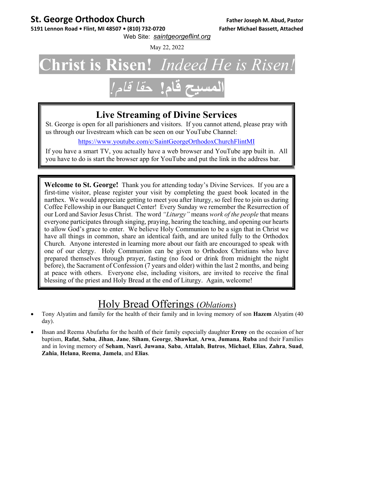#### **St. George Orthodox Church Father Joseph M. Abud, Pastor**

5191 Lennon Road . Flint, MI 48507 . (810) 732-0720 Father Michael Bassett, Attached

Web Site: *saintgeorgeflint.org*

May 22, 2022

# **Christ is Risen!** *Indeed He is Risen!*

# **المسيح قام!** حقا قام*!*

#### **Live Streaming of Divine Services**

St. George is open for all parishioners and visitors. If you cannot attend, please pray with us through our livestream which can be seen on our YouTube Channel:

https://www.youtube.com/c/SaintGeorgeOrthodoxChurchFlintMI

If you have a smart TV, you actually have a web browser and YouTube app built in. All you have to do is start the browser app for YouTube and put the link in the address bar.

**Welcome to St. George!** Thank you for attending today's Divine Services. If you are a first-time visitor, please register your visit by completing the guest book located in the narthex. We would appreciate getting to meet you after liturgy, so feel free to join us during Coffee Fellowship in our Banquet Center! Every Sunday we remember the Resurrection of our Lord and Savior Jesus Christ. The word *"Liturgy"* means *work of the people* that means everyone participates through singing, praying, hearing the teaching, and opening our hearts to allow God's grace to enter. We believe Holy Communion to be a sign that in Christ we have all things in common, share an identical faith, and are united fully to the Orthodox Church. Anyone interested in learning more about our faith are encouraged to speak with one of our clergy. Holy Communion can be given to Orthodox Christians who have prepared themselves through prayer, fasting (no food or drink from midnight the night before), the Sacrament of Confession (7 years and older) within the last 2 months, and being at peace with others. Everyone else, including visitors, are invited to receive the final blessing of the priest and Holy Bread at the end of Liturgy. Again, welcome!

#### Holy Bread Offerings (*Oblations*)

- Tony Alyatim and family for the health of their family and in loving memory of son **Hazem** Alyatim (40 day).
- Ihsan and Reema Abufarha for the health of their family especially daughter **Ereny** on the occasion of her baptism, **Rafat**, **Saba**, **Jihan**, **Jane**, **Siham**, **George**, **Shawkat**, **Arwa**, **Jumana**, **Ruba** and their Families and in loving memory of **Seham**, **Nasri**, **Juwana**, **Saba**, **Attalah**, **Butros**, **Michael**, **Elias**, **Zahra**, **Suad**, **Zahia**, **Helana**, **Reema**, **Jamela**, and **Elias**.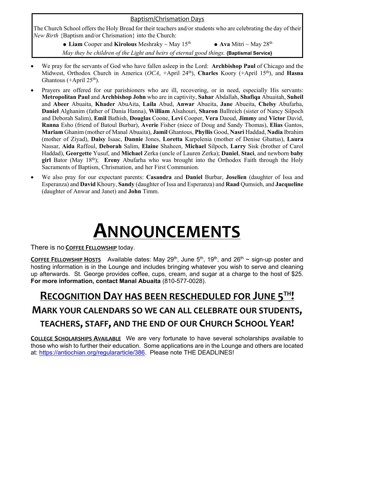#### Baptism/Chrismation Days

The Church School offers the Holy Bread for their teachers and/or students who are celebrating the day of their *New Birth* {Baptism and/or Chrismation} into the Church:

> • Liam Cooper and Kirolous Meshraky  $\sim$  May 15<sup>th</sup> • Ava Mitri  $\sim$  May 28<sup>th</sup> *May they be children of the Light and heirs of eternal good things.* **{Baptismal Service}**

- We pray for the servants of God who have fallen asleep in the Lord: **Archbishop Paul** of Chicago and the Midwest, Orthodox Church in America (*OCA*, +April 24th), **Charles** Koory (+April 15th), and **Hasna** Ghantous (+April  $25<sup>th</sup>$ ).
- Prayers are offered for our parishioners who are ill, recovering, or in need, especially His servants: **Metropolitan Paul** and **Archbishop John** who are in captivity, **Sahar** Abdallah, **Shafiqa** Abuaitah, **Suheil**  and **Abeer** Abuaita, **Khader** AbuAita, **Laila** Abud, **Anwar** Abueita, **Jane** Abueita, **Chelsy** Abufarha, **Daniel** Alghanim (father of Dania Hanna), **William** Alsahouri, **Sharon** Ballreich (sister of Nancy Silpoch and Deborah Salim), **Emil** Bathish, **Douglas** Coone, **Levi** Cooper, **Vera** Daoud, **Jimmy** and **Victor** David, **Ranna** Esho (friend of Batoul Burbar), **Averie** Fisher (niece of Doug and Sandy Thomas), **Elias** Gantos, **Mariam** Ghanim (mother of Manal Abuaita), **Jamil** Ghantous, **Phyllis** Good, **Nasri** Haddad, **Nadia** Ibrahim (mother of Ziyad), **Daisy** Isaac, **Dannie** Jones, **Loretta** Karpelenia (mother of Denise Ghattas), **Laura** Nassar, **Aida** Raffoul, **Deborah** Salim, **Elaine** Shaheen, **Michael** Silpoch, **Larry** Sisk (brother of Carol Haddad), **Georgette** Yusuf, and **Michael** Zerka (uncle of Lauren Zerka); **Daniel**, **Staci**, and newborn **baby girl** Bator (May 18th); **Ereny** Abufarha who was brought into the Orthodox Faith through the Holy Sacraments of Baptism, Chrismation, and her First Communion.
- We also pray for our expectant parents: **Casandra** and **Daniel** Burbar, **Joselien** (daughter of Issa and Esperanza) and **David** Khoury, **Sandy** (daughter of Issa and Esperanza) and **Raad** Qumsieh, and **Jacqueline** (daughter of Anwar and Janet) and **John** Timm.

# **ANNOUNCEMENTS**

There is no **COFFEE FELLOWSHIP** today.

**COFFEE FELLOWSHIP HOSTS** Available dates: May 29<sup>th</sup>, June 5<sup>th</sup>, 19<sup>th</sup>, and 26<sup>th</sup> ~ sign-up poster and hosting information is in the Lounge and includes bringing whatever you wish to serve and cleaning up afterwards. St. George provides coffee, cups, cream, and sugar at a charge to the host of \$25. **For more information, contact Manal Abuaita** (810-577-0028).

### **RECOGNITION DAY HAS BEEN RESCHEDULED FOR JUNE 5TH! MARK YOUR CALENDARS SO WE CAN ALL CELEBRATE OUR STUDENTS, TEACHERS, STAFF, AND THE END OF OUR CHURCH SCHOOL YEAR!**

**COLLEGE SCHOLARSHIPS AVAILABLE** We are very fortunate to have several scholarships available to those who wish to further their education. Some applications are in the Lounge and others are located at: https://antiochian.org/regulararticle/386. Please note THE DEADLINES!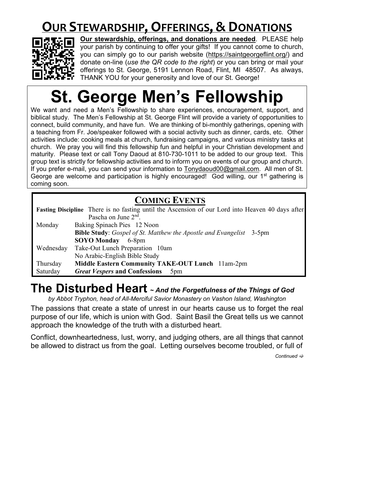## **OUR STEWARDSHIP,OFFERINGS, & DONATIONS**



**Our stewardship, offerings, and donations are needed**. PLEASE help your parish by continuing to offer your gifts! If you cannot come to church, you can simply go to our parish website (https://saintgeorgeflint.org/) and donate on-line (*use the QR code to the right*) or you can bring or mail your offerings to St. George, 5191 Lennon Road, Flint, MI 48507. As always, THANK YOU for your generosity and love of our St. George!

# **St. George Men's Fellowship**

We want and need a Men's Fellowship to share experiences, encouragement, support, and biblical study. The Men's Fellowship at St. George Flint will provide a variety of opportunities to connect, build community, and have fun. We are thinking of bi-monthly gatherings, opening with a teaching from Fr. Joe/speaker followed with a social activity such as dinner, cards, etc. Other activities include: cooking meals at church, fundraising campaigns, and various ministry tasks at church. We pray you will find this fellowship fun and helpful in your Christian development and maturity. Please text or call Tony Daoud at 810-730-1011 to be added to our group text. This group text is strictly for fellowship activities and to inform you on events of our group and church. If you prefer e-mail, you can send your information to Tonydaoud00@gmail.com. All men of St. George are welcome and participation is highly encouraged! God willing, our  $1<sup>st</sup>$  gathering is coming soon.

#### **COMING EVENTS**

| Fasting Discipline There is no fasting until the Ascension of our Lord into Heaven 40 days after |                                                                            |
|--------------------------------------------------------------------------------------------------|----------------------------------------------------------------------------|
|                                                                                                  | Pascha on June $2nd$ .                                                     |
| Monday                                                                                           | Baking Spinach Pies 12 Noon                                                |
|                                                                                                  | <b>Bible Study:</b> Gospel of St. Matthew the Apostle and Evangelist 3-5pm |
|                                                                                                  | SOYO Monday 6-8pm                                                          |
| Wednesday                                                                                        | Take-Out Lunch Preparation 10am                                            |
|                                                                                                  | No Arabic-English Bible Study                                              |
| Thursday                                                                                         | Middle Eastern Community TAKE-OUT Lunch 11am-2pm                           |
| Saturday                                                                                         | <b>Great Vespers and Confessions</b><br>5 <sub>pm</sub>                    |

### **The Disturbed Heart <sup>~</sup>** *And the Forgetfulness of the Things of God*

*by Abbot Tryphon, head of All-Merciful Savior Monastery on Vashon Island, Washington* 

The passions that create a state of unrest in our hearts cause us to forget the real purpose of our life, which is union with God. Saint Basil the Great tells us we cannot approach the knowledge of the truth with a disturbed heart.

Conflict, downheartedness, lust, worry, and judging others, are all things that cannot be allowed to distract us from the goal. Letting ourselves become troubled, or full of

*Continued*